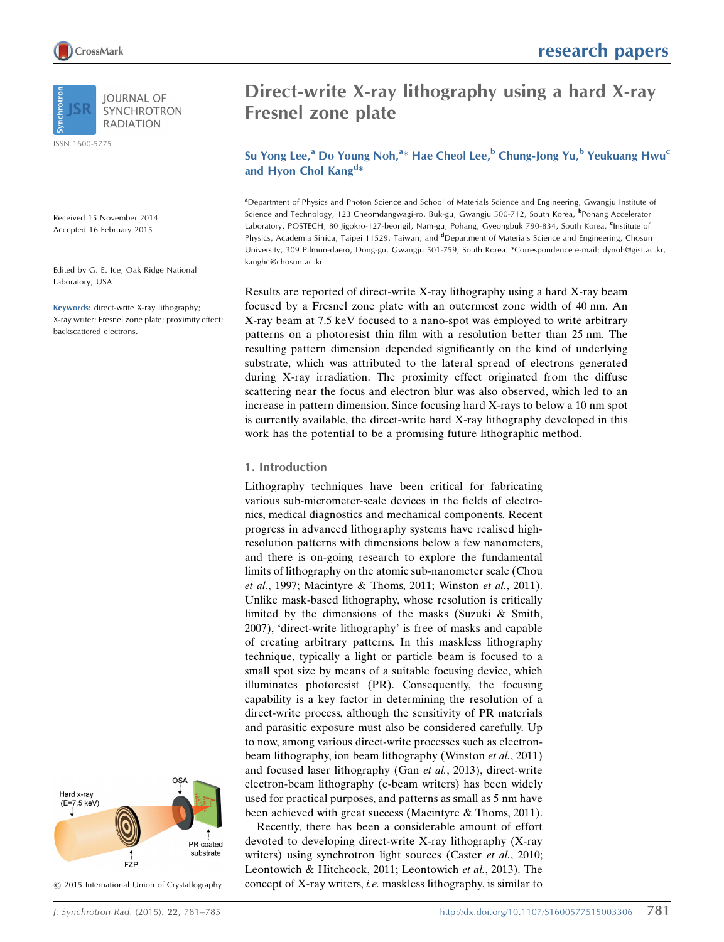

ISSN 1600-5775

Received 15 November 2014 Accepted 16 February 2015

Edited by G. E. Ice, Oak Ridge National Laboratory, USA

Keywords: direct-write X-ray lithography; X-ray writer; Fresnel zone plate; proximity effect; backscattered electrons.



 $©$  2015 International Union of Crystallography

# Direct-write X-ray lithography using a hard X-ray Fresnel zone plate

Su Yong Lee,<sup>a</sup> Do Young Noh,<sup>a</sup>\* Hae Cheol Lee,<sup>b</sup> Chung-Jong Yu,<sup>b</sup> Yeukuang Hwu<sup>c</sup> and Hyon Chol Kang<sup>d\*</sup>

a Department of Physics and Photon Science and School of Materials Science and Engineering, Gwangju Institute of Science and Technology, 123 Cheomdangwagi-ro, Buk-gu, Gwangju 500-712, South Korea, <sup>b</sup>Pohang Accelerator Laboratory, POSTECH, 80 Jigokro-127-beongil, Nam-gu, Pohang, Gyeongbuk 790-834, South Korea, <sup>c</sup>Institute of Physics, Academia Sinica, Taipei 11529, Taiwan, and <sup>d</sup>Department of Materials Science and Engineering, Chosun University, 309 Pilmun-daero, Dong-gu, Gwangju 501-759, South Korea. \*Correspondence e-mail: dynoh@gist.ac.kr, kanghc@chosun.ac.kr

Results are reported of direct-write X-ray lithography using a hard X-ray beam focused by a Fresnel zone plate with an outermost zone width of 40 nm. An X-ray beam at 7.5 keV focused to a nano-spot was employed to write arbitrary patterns on a photoresist thin film with a resolution better than 25 nm. The resulting pattern dimension depended significantly on the kind of underlying substrate, which was attributed to the lateral spread of electrons generated during X-ray irradiation. The proximity effect originated from the diffuse scattering near the focus and electron blur was also observed, which led to an increase in pattern dimension. Since focusing hard X-rays to below a 10 nm spot is currently available, the direct-write hard X-ray lithography developed in this work has the potential to be a promising future lithographic method.

### 1. Introduction

Lithography techniques have been critical for fabricating various sub-micrometer-scale devices in the fields of electronics, medical diagnostics and mechanical components. Recent progress in advanced lithography systems have realised highresolution patterns with dimensions below a few nanometers, and there is on-going research to explore the fundamental limits of lithography on the atomic sub-nanometer scale (Chou et al., 1997; Macintyre & Thoms, 2011; Winston et al., 2011). Unlike mask-based lithography, whose resolution is critically limited by the dimensions of the masks (Suzuki & Smith, 2007), 'direct-write lithography' is free of masks and capable of creating arbitrary patterns. In this maskless lithography technique, typically a light or particle beam is focused to a small spot size by means of a suitable focusing device, which illuminates photoresist (PR). Consequently, the focusing capability is a key factor in determining the resolution of a direct-write process, although the sensitivity of PR materials and parasitic exposure must also be considered carefully. Up to now, among various direct-write processes such as electronbeam lithography, ion beam lithography (Winston et al., 2011) and focused laser lithography (Gan et al., 2013), direct-write electron-beam lithography (e-beam writers) has been widely used for practical purposes, and patterns as small as 5 nm have been achieved with great success (Macintyre & Thoms, 2011).

Recently, there has been a considerable amount of effort devoted to developing direct-write X-ray lithography (X-ray writers) using synchrotron light sources (Caster et al., 2010; Leontowich & Hitchcock, 2011; Leontowich et al., 2013). The concept of X-ray writers, i.e. maskless lithography, is similar to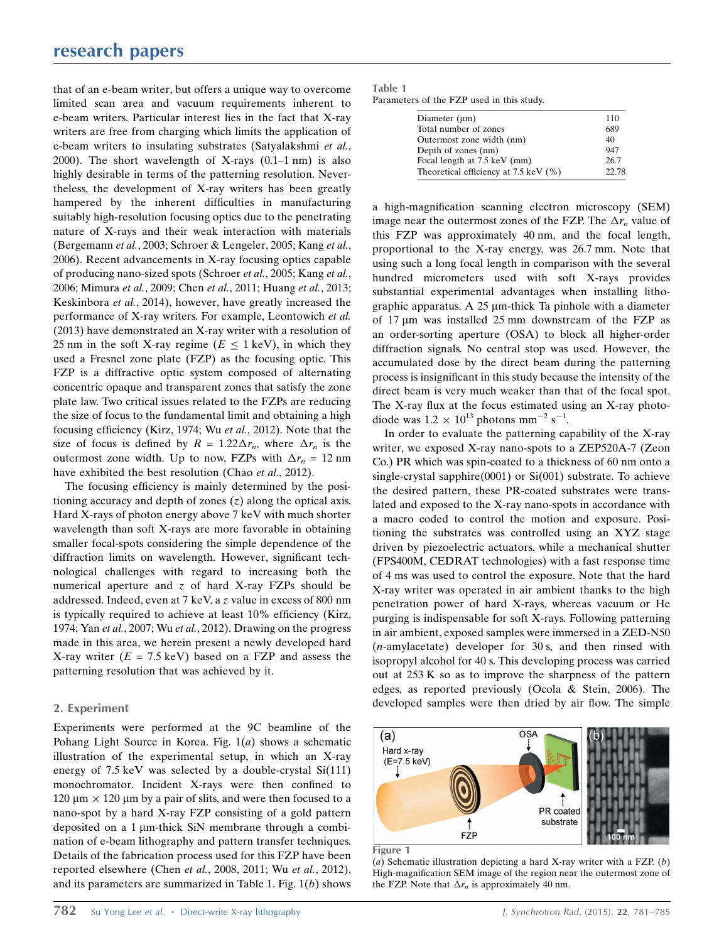that of an e-beam writer, but offers a unique way to overcome limited scan area and vacuum requirements inherent to e-beam writers. Particular interest lies in the fact that X-ray writers are free from charging which limits the application of e-beam writers to insulating substrates (Satyalakshmi et al., 2000). The short wavelength of X-rays (0.1–1 nm) is also highly desirable in terms of the patterning resolution. Nevertheless, the development of X-ray writers has been greatly hampered by the inherent difficulties in manufacturing suitably high-resolution focusing optics due to the penetrating nature of X-rays and their weak interaction with materials (Bergemann et al., 2003; Schroer & Lengeler, 2005; Kang et al., 2006). Recent advancements in X-ray focusing optics capable of producing nano-sized spots (Schroer et al., 2005; Kang et al., 2006; Mimura et al., 2009; Chen et al., 2011; Huang et al., 2013; Keskinbora et al., 2014), however, have greatly increased the performance of X-ray writers. For example, Leontowich et al. (2013) have demonstrated an X-ray writer with a resolution of 25 nm in the soft X-ray regime ( $E \le 1$  keV), in which they used a Fresnel zone plate (FZP) as the focusing optic. This FZP is a diffractive optic system composed of alternating concentric opaque and transparent zones that satisfy the zone plate law. Two critical issues related to the FZPs are reducing the size of focus to the fundamental limit and obtaining a high focusing efficiency (Kirz, 1974; Wu et al., 2012). Note that the size of focus is defined by  $R = 1.22 \Delta r_n$ , where  $\Delta r_n$  is the outermost zone width. Up to now, FZPs with  $\Delta r_n = 12$  nm have exhibited the best resolution (Chao et al., 2012).

The focusing efficiency is mainly determined by the positioning accuracy and depth of zones  $(z)$  along the optical axis. Hard X-rays of photon energy above 7 keV with much shorter wavelength than soft X-rays are more favorable in obtaining smaller focal-spots considering the simple dependence of the diffraction limits on wavelength. However, significant technological challenges with regard to increasing both the numerical aperture and  $z$  of hard X-ray FZPs should be addressed. Indeed, even at 7 keV, a z value in excess of 800 nm is typically required to achieve at least 10% efficiency (Kirz, 1974; Yan et al., 2007; Wu et al., 2012). Drawing on the progress made in this area, we herein present a newly developed hard X-ray writer  $(E = 7.5 \text{ keV})$  based on a FZP and assess the patterning resolution that was achieved by it.

# 2. Experiment

Experiments were performed at the 9C beamline of the Pohang Light Source in Korea. Fig.  $1(a)$  shows a schematic illustration of the experimental setup, in which an X-ray energy of 7.5 keV was selected by a double-crystal Si(111) monochromator. Incident X-rays were then confined to  $120 \mu m \times 120 \mu m$  by a pair of slits, and were then focused to a nano-spot by a hard X-ray FZP consisting of a gold pattern deposited on a 1 µm-thick SiN membrane through a combination of e-beam lithography and pattern transfer techniques. Details of the fabrication process used for this FZP have been reported elsewhere (Chen et al., 2008, 2011; Wu et al., 2012), and its parameters are summarized in Table 1. Fig. 1(b) shows

| Table 1                                   |  |  |  |  |
|-------------------------------------------|--|--|--|--|
| Parameters of the FZP used in this study. |  |  |  |  |

| Diameter $(\mu m)$                    | 110   |
|---------------------------------------|-------|
| Total number of zones                 | 689   |
| Outermost zone width (nm)             | 40    |
| Depth of zones (nm)                   | 947   |
| Focal length at 7.5 keV (mm)          | 26.7  |
| Theoretical efficiency at 7.5 keV (%) | 22.78 |

a high-magnification scanning electron microscopy (SEM) image near the outermost zones of the FZP. The  $\Delta r_n$  value of this FZP was approximately 40 nm, and the focal length, proportional to the X-ray energy, was 26.7 mm. Note that using such a long focal length in comparison with the several hundred micrometers used with soft X-rays provides substantial experimental advantages when installing lithographic apparatus. A  $25 \mu m$ -thick Ta pinhole with a diameter of 17  $\mu$ m was installed 25 mm downstream of the FZP as an order-sorting aperture (OSA) to block all higher-order diffraction signals. No central stop was used. However, the accumulated dose by the direct beam during the patterning process is insignificant in this study because the intensity of the direct beam is very much weaker than that of the focal spot. The X-ray flux at the focus estimated using an X-ray photodiode was  $1.2 \times 10^{13}$  photons mm<sup>-2</sup> s<sup>-1</sup>.

In order to evaluate the patterning capability of the X-ray writer, we exposed X-ray nano-spots to a ZEP520A-7 (Zeon Co.) PR which was spin-coated to a thickness of 60 nm onto a single-crystal sapphire(0001) or Si(001) substrate. To achieve the desired pattern, these PR-coated substrates were translated and exposed to the X-ray nano-spots in accordance with a macro coded to control the motion and exposure. Positioning the substrates was controlled using an XYZ stage driven by piezoelectric actuators, while a mechanical shutter (FPS400M, CEDRAT technologies) with a fast response time of 4 ms was used to control the exposure. Note that the hard X-ray writer was operated in air ambient thanks to the high penetration power of hard X-rays, whereas vacuum or He purging is indispensable for soft X-rays. Following patterning in air ambient, exposed samples were immersed in a ZED-N50  $(n$ -amylacetate) developer for 30 s, and then rinsed with isopropyl alcohol for 40 s. This developing process was carried out at 253 K so as to improve the sharpness of the pattern edges, as reported previously (Ocola & Stein, 2006). The developed samples were then dried by air flow. The simple



Figure 1

(a) Schematic illustration depicting a hard X-ray writer with a FZP.  $(b)$ High-magnification SEM image of the region near the outermost zone of the FZP. Note that  $\Delta r_n$  is approximately 40 nm.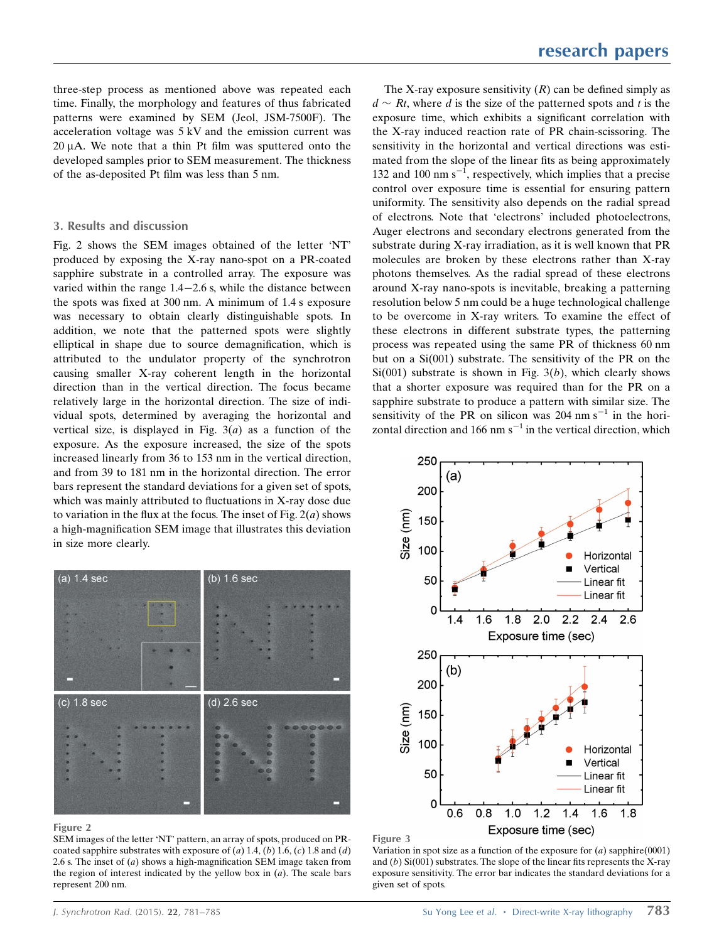three-step process as mentioned above was repeated each time. Finally, the morphology and features of thus fabricated patterns were examined by SEM (Jeol, JSM-7500F). The acceleration voltage was 5 kV and the emission current was  $20 \mu A$ . We note that a thin Pt film was sputtered onto the developed samples prior to SEM measurement. The thickness of the as-deposited Pt film was less than 5 nm.

## 3. Results and discussion

Fig. 2 shows the SEM images obtained of the letter 'NT' produced by exposing the X-ray nano-spot on a PR-coated sapphire substrate in a controlled array. The exposure was varied within the range  $1.4-2.6$  s, while the distance between the spots was fixed at 300 nm. A minimum of 1.4 s exposure was necessary to obtain clearly distinguishable spots. In addition, we note that the patterned spots were slightly elliptical in shape due to source demagnification, which is attributed to the undulator property of the synchrotron causing smaller X-ray coherent length in the horizontal direction than in the vertical direction. The focus became relatively large in the horizontal direction. The size of individual spots, determined by averaging the horizontal and vertical size, is displayed in Fig.  $3(a)$  as a function of the exposure. As the exposure increased, the size of the spots increased linearly from 36 to 153 nm in the vertical direction, and from 39 to 181 nm in the horizontal direction. The error bars represent the standard deviations for a given set of spots, which was mainly attributed to fluctuations in X-ray dose due to variation in the flux at the focus. The inset of Fig.  $2(a)$  shows a high-magnification SEM image that illustrates this deviation in size more clearly.



#### Figure 2

SEM images of the letter 'NT' pattern, an array of spots, produced on PRcoated sapphire substrates with exposure of (a) 1.4, (b) 1.6, (c) 1.8 and (d) 2.6 s. The inset of  $(a)$  shows a high-magnification SEM image taken from the region of interest indicated by the yellow box in  $(a)$ . The scale bars represent 200 nm.

The X-ray exposure sensitivity  $(R)$  can be defined simply as  $d \sim Rt$ , where d is the size of the patterned spots and t is the exposure time, which exhibits a significant correlation with the X-ray induced reaction rate of PR chain-scissoring. The sensitivity in the horizontal and vertical directions was estimated from the slope of the linear fits as being approximately 132 and 100 nm  $s^{-1}$ , respectively, which implies that a precise control over exposure time is essential for ensuring pattern uniformity. The sensitivity also depends on the radial spread of electrons. Note that 'electrons' included photoelectrons, Auger electrons and secondary electrons generated from the substrate during X-ray irradiation, as it is well known that PR molecules are broken by these electrons rather than X-ray photons themselves. As the radial spread of these electrons around X-ray nano-spots is inevitable, breaking a patterning resolution below 5 nm could be a huge technological challenge to be overcome in X-ray writers. To examine the effect of these electrons in different substrate types, the patterning process was repeated using the same PR of thickness 60 nm but on a Si(001) substrate. The sensitivity of the PR on the  $Si(001)$  substrate is shown in Fig.  $3(b)$ , which clearly shows that a shorter exposure was required than for the PR on a sapphire substrate to produce a pattern with similar size. The sensitivity of the PR on silicon was  $204 \text{ nm s}^{-1}$  in the horizontal direction and 166 nm  $s^{-1}$  in the vertical direction, which



#### Figure 3

Variation in spot size as a function of the exposure for  $(a)$  sapphire $(0001)$ and  $(b)$  Si $(001)$  substrates. The slope of the linear fits represents the X-ray exposure sensitivity. The error bar indicates the standard deviations for a given set of spots.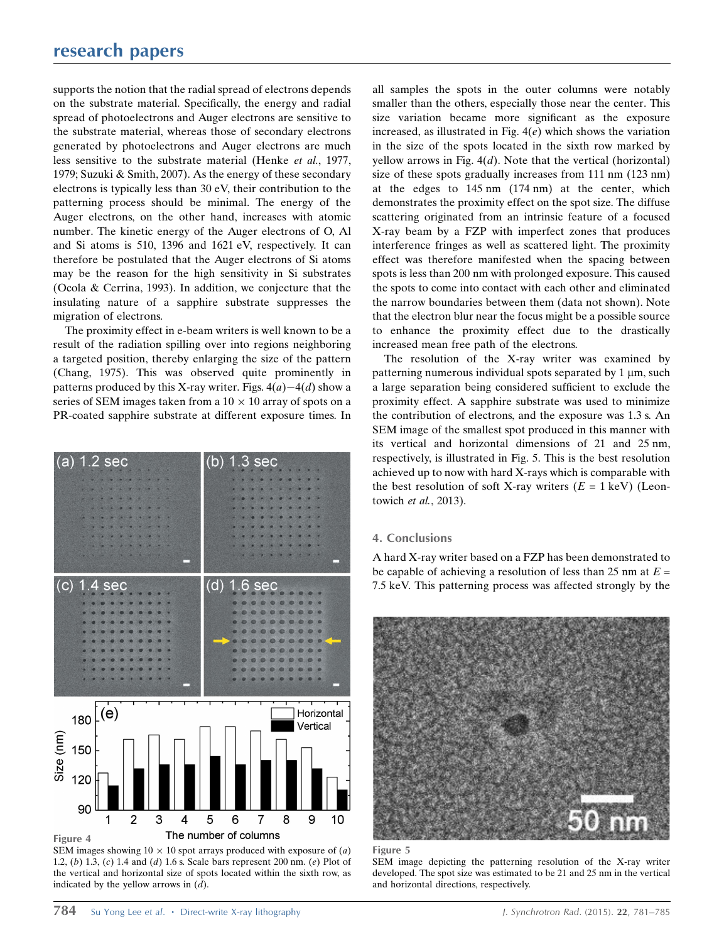supports the notion that the radial spread of electrons depends on the substrate material. Specifically, the energy and radial spread of photoelectrons and Auger electrons are sensitive to the substrate material, whereas those of secondary electrons generated by photoelectrons and Auger electrons are much less sensitive to the substrate material (Henke et al., 1977, 1979; Suzuki & Smith, 2007). As the energy of these secondary electrons is typically less than 30 eV, their contribution to the patterning process should be minimal. The energy of the Auger electrons, on the other hand, increases with atomic number. The kinetic energy of the Auger electrons of O, Al and Si atoms is 510, 1396 and 1621 eV, respectively. It can therefore be postulated that the Auger electrons of Si atoms may be the reason for the high sensitivity in Si substrates (Ocola & Cerrina, 1993). In addition, we conjecture that the insulating nature of a sapphire substrate suppresses the migration of electrons.

The proximity effect in e-beam writers is well known to be a result of the radiation spilling over into regions neighboring a targeted position, thereby enlarging the size of the pattern (Chang, 1975). This was observed quite prominently in patterns produced by this X-ray writer. Figs.  $4(a) - 4(d)$  show a series of SEM images taken from a  $10 \times 10$  array of spots on a PR-coated sapphire substrate at different exposure times. In



SEM images showing  $10 \times 10$  spot arrays produced with exposure of (*a*) 1.2, (b) 1.3, (c) 1.4 and (d) 1.6 s. Scale bars represent 200 nm. (e) Plot of the vertical and horizontal size of spots located within the sixth row, as indicated by the yellow arrows in  $(d)$ .

all samples the spots in the outer columns were notably smaller than the others, especially those near the center. This size variation became more significant as the exposure increased, as illustrated in Fig.  $4(e)$  which shows the variation in the size of the spots located in the sixth row marked by yellow arrows in Fig.  $4(d)$ . Note that the vertical (horizontal) size of these spots gradually increases from 111 nm (123 nm) at the edges to 145 nm (174 nm) at the center, which demonstrates the proximity effect on the spot size. The diffuse scattering originated from an intrinsic feature of a focused X-ray beam by a FZP with imperfect zones that produces interference fringes as well as scattered light. The proximity effect was therefore manifested when the spacing between spots is less than 200 nm with prolonged exposure. This caused the spots to come into contact with each other and eliminated the narrow boundaries between them (data not shown). Note that the electron blur near the focus might be a possible source to enhance the proximity effect due to the drastically increased mean free path of the electrons.

The resolution of the X-ray writer was examined by patterning numerous individual spots separated by  $1 \mu m$ , such a large separation being considered sufficient to exclude the proximity effect. A sapphire substrate was used to minimize the contribution of electrons, and the exposure was 1.3 s. An SEM image of the smallest spot produced in this manner with its vertical and horizontal dimensions of 21 and 25 nm, respectively, is illustrated in Fig. 5. This is the best resolution achieved up to now with hard X-rays which is comparable with the best resolution of soft X-ray writers  $(E = 1 \text{ keV})$  (Leontowich et al., 2013).

### 4. Conclusions

A hard X-ray writer based on a FZP has been demonstrated to be capable of achieving a resolution of less than 25 nm at  $E =$ 7.5 keV. This patterning process was affected strongly by the



#### Figure 5

SEM image depicting the patterning resolution of the X-ray writer developed. The spot size was estimated to be 21 and 25 nm in the vertical and horizontal directions, respectively.